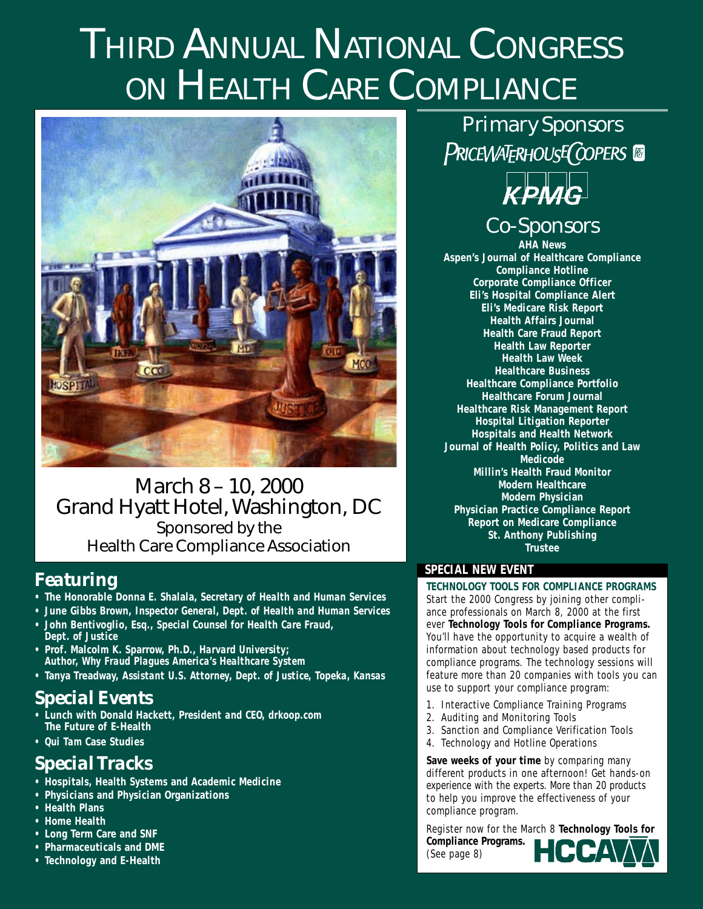# THIRD ANNUAL NATIONAL CONGRESS ON HEALTH CARE COMPLIANCE



### March 8 – 10, 2000 Grand Hyatt Hotel, Washington, DC Sponsored by the Health Care Compliance Association

### *Featuring*

- **The Honorable Donna E. Shalala,** *Secretary of Health and Human Services*
- **June Gibbs Brown,** *Inspector General, Dept. of Health and Human Services*
- **John Bentivoglio, Esq.,** *Special Counsel for Health Care Fraud, Dept. of Justice*
- **Prof. Malcolm K. Sparrow, Ph.D.,** *Harvard University; Author, Why Fraud Plagues America's Healthcare System*
- **Tanya Treadway,** *Assistant U.S. Attorney, Dept. of Justice, Topeka, Kansas*

### *Special Events*

- **Lunch with Donald Hackett,** *President and CEO, drkoop.com* **The Future of E-Health**
- *Qui Tam* **Case Studies**

### *Special Tracks*

- **Hospitals, Health Systems and Academic Medicine**
- **Physicians and Physician Organizations**
- **Health Plans**
- **Home Health**
- **Long Term Care and SNF**
- **Pharmaceuticals and DME**
- **Technology and E-Health**

*Primary Sponsors* PRICEWATERHOUSE COPERS



### *Co-Sponsors*

**AHA News Aspen's Journal of Healthcare Compliance Compliance Hotline Corporate Compliance Officer Eli's Hospital Compliance Alert Eli's Medicare Risk Report Health Affairs Journal Health Care Fraud Report Health Law Reporter Health Law Week Healthcare Business Healthcare Compliance Portfolio Healthcare Forum Journal Healthcare Risk Management Report Hospital Litigation Reporter Hospitals and Health Network Journal of Health Policy, Politics and Law Medicode Millin's Health Fraud Monitor Modern Healthcare Modern Physician Physician Practice Compliance Report Report on Medicare Compliance St. Anthony Publishing Trustee**

#### **SPECIAL NEW EVENT**

**TECHNOLOGY TOOLS FOR COMPLIANCE PROGRAMS**

Start the 2000 Congress by joining other compliance professionals on March 8, 2000 at the first ever **Technology Tools for Compliance Programs.** You'll have the opportunity to acquire a wealth of information about technology based products for compliance programs. The technology sessions will feature more than 20 companies with tools you can use to support your compliance program:

- 1. Interactive Compliance Training Programs
- 2. Auditing and Monitoring Tools
- 3. Sanction and Compliance Verification Tools
- 4. Technology and Hotline Operations

**Save weeks of your time** by comparing many different products in one afternoon! Get hands-on experience with the experts. More than 20 products to help you improve the effectiveness of your compliance program.

Register now for the March 8 **Technology Tools for Compliance Programs.** (See page 8)

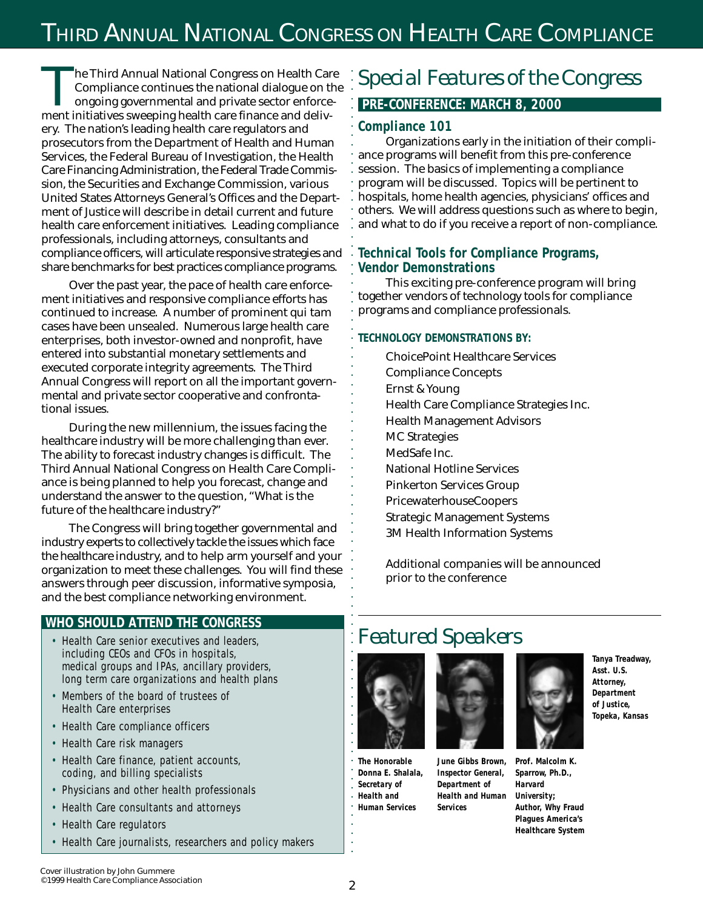### THIRD ANNUAL NATIONAL CONGRESS ON HEALTH CARE COMPLIANCE

aaaaaaaaaaaaaaaaaaaaaaaaaaaaaaaaaaaaaaaaaaaaaaaaaaaaaaaaa

**The Third Annual National Congress on Health Care** Compliance continues the national dialogue on the ongoing governmental and private sector enforcement initiatives sweeping health care finance and delivery. The nation's leading health care regulators and prosecutors from the Department of Health and Human Services, the Federal Bureau of Investigation, the Health Care Financing Administration, the Federal Trade Commission, the Securities and Exchange Commission, various United States Attorneys General's Offices and the Department of Justice will describe in detail current and future health care enforcement initiatives. Leading compliance professionals, including attorneys, consultants and compliance officers, will articulate responsive strategies and share benchmarks for best practices compliance programs.

Over the past year, the pace of health care enforcement initiatives and responsive compliance efforts has continued to increase. A number of prominent *qui tam* cases have been unsealed. Numerous large health care enterprises, both investor-owned and nonprofit, have entered into substantial monetary settlements and executed corporate integrity agreements. The Third Annual Congress will report on all the important governmental and private sector cooperative and confrontational issues.

During the new millennium, the issues facing the healthcare industry will be more challenging than ever. The ability to forecast industry changes is difficult. The Third Annual National Congress on Health Care Compliance is being planned to help you forecast, change and understand the answer to the question, "What is the future of the healthcare industry?"

The Congress will bring together governmental and industry experts to collectively tackle the issues which face the healthcare industry, and to help arm yourself and your organization to meet these challenges. You will find these answers through peer discussion, informative symposia, and the best compliance networking environment.

#### **WHO SHOULD ATTEND THE CONGRESS**

- Health Care senior executives and leaders, including CEOs and CFOs in hospitals, medical groups and IPAs, ancillary providers, long term care organizations and health plans
- Members of the board of trustees of Health Care enterprises
- Health Care compliance officers
- Health Care risk managers
- Health Care finance, patient accounts, coding, and billing specialists
- Physicians and other health professionals
- Health Care consultants and attorneys
- Health Care regulators
- Health Care journalists, researchers and policy makers

### *Special Features of the Congress*

#### **PRE-CONFERENCE: MARCH 8, 2000**

#### **Compliance 101**

Organizations early in the initiation of their compliance programs will benefit from this pre-conference session. The basics of implementing a compliance program will be discussed. Topics will be pertinent to hospitals, home health agencies, physicians' offices and others. We will address questions such as where to begin, and what to do if you receive a report of non-compliance.

#### **Technical Tools for Compliance Programs, Vendor Demonstrations**

This exciting pre-conference program will bring together vendors of technology tools for compliance programs and compliance professionals.

#### **TECHNOLOGY DEMONSTRATIONS BY:**

ChoicePoint Healthcare Services Compliance Concepts Ernst & Young Health Care Compliance Strategies Inc. Health Management Advisors MC Strategies MedSafe Inc. National Hotline Services Pinkerton Services Group PricewaterhouseCoopers Strategic Management Systems 3M Health Information Systems

Additional companies will be announced prior to the conference

### *Featured Speakers*



**The Honorable Donna E. Shalala,** *Secretary of Health and Human Services*



*Inspector General, Department of Health and Human*

*Services*

**Prof. Malcolm K. June Gibbs Brown,**



**Sparrow, Ph.D.,** *Harvard University; Author,* **Why Fraud Plagues America's Healthcare System**

aaaaaaaaaaaaaaaaaaaaaaaaaaaaa

l.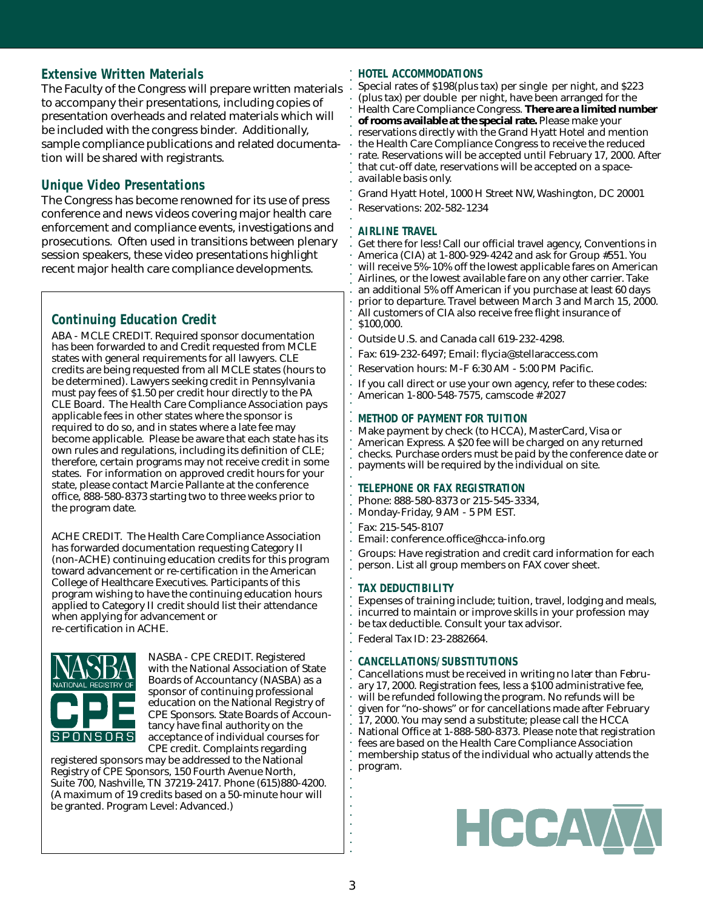#### **Extensive Written Materials**

The Faculty of the Congress will prepare written materials to accompany their presentations, including copies of presentation overheads and related materials which will be included with the congress binder. Additionally, sample compliance publications and related documentation will be shared with registrants.

#### **Unique Video Presentations**

The Congress has become renowned for its use of press conference and news videos covering major health care enforcement and compliance events, investigations and prosecutions. Often used in transitions between plenary session speakers, these video presentations highlight recent major health care compliance developments.

#### **Continuing Education Credit**

ABA - MCLE CREDIT. Required sponsor documentation has been forwarded to and Credit requested from MCLE states with general requirements for all lawyers. CLE credits are being requested from all MCLE states (hours to be determined). Lawyers seeking credit in Pennsylvania must pay fees of \$1.50 per credit hour directly to the PA CLE Board. The Health Care Compliance Association pays applicable fees in other states where the sponsor is required to do so, and in states where a late fee may become applicable. Please be aware that each state has its own rules and regulations, including its definition of CLE; therefore, certain programs may not receive credit in some states. For information on approved credit hours for your state, please contact Marcie Pallante at the conference office, 888-580-8373 starting two to three weeks prior to the program date.

ACHE CREDIT. The Health Care Compliance Association has forwarded documentation requesting Category II (non-ACHE) continuing education credits for this program toward advancement or re-certification in the American College of Healthcare Executives. Participants of this program wishing to have the continuing education hours applied to Category II credit should list their attendance when applying for advancement or re-certification in ACHE.



NASBA - CPE CREDIT. Registered with the National Association of State Boards of Accountancy (NASBA) as a sponsor of continuing professional education on the National Registry of CPE Sponsors. State Boards of Accountancy have final authority on the acceptance of individual courses for CPE credit. Complaints regarding

registered sponsors may be addressed to the National Registry of CPE Sponsors, 150 Fourth Avenue North, Suite 700, Nashville, TN 37219-2417. Phone (615)880-4200. (A maximum of 19 credits based on a 50-minute hour will be granted. Program Level: Advanced.)

#### **HOTEL ACCOMMODATIONS**

Special rates of \$198(plus tax) per single per night, and \$223 (plus tax) per double per night, have been arranged for the Health Care Compliance Congress. **There are a limited number of rooms available at the special rate.** Please make your reservations directly with the Grand Hyatt Hotel and mention the Health Care Compliance Congress to receive the reduced rate. Reservations will be accepted until February 17, 2000. After that cut-off date, reservations will be accepted on a spaceavailable basis only.

Grand Hyatt Hotel, 1000 H Street NW, Washington, DC 20001 Reservations: 202-582-1234

#### **AIRLINE TRAVEL**

aaaaaaaaaaaaaaaaaaaaaaaaaaaaaaaaaaaaaaaaaaaaaaaaaaaaaaaaa

Get there for less! Call our official travel agency, Conventions in America (CIA) at 1-800-929-4242 and ask for Group #551. You will receive 5%-10% off the lowest applicable fares on American Airlines, or the lowest available fare on any other carrier. Take an additional 5% off American if you purchase at least 60 days prior to departure. Travel between March 3 and March 15, 2000. All customers of CIA also receive free flight insurance of \$100,000.

Outside U.S. and Canada call 619-232-4298.

Fax: 619-232-6497; Email: flycia@stellaraccess.com

Reservation hours: M-F 6:30 AM - 5:00 PM Pacific.

If you call direct or use your own agency, refer to these codes: American 1-800-548-7575, camscode # 2027

#### **METHOD OF PAYMENT FOR TUITION**

Make payment by check (to HCCA), MasterCard, Visa or American Express. A \$20 fee will be charged on any returned checks. Purchase orders must be paid by the conference date or payments will be required by the individual on site.

#### **TELEPHONE OR FAX REGISTRATION**

Phone: 888-580-8373 or 215-545-3334, Monday-Friday, 9 AM - 5 PM EST.

Fax: 215-545-8107 Email: conference.office@hcca-info.org

Groups: Have registration and credit card information for each

person. List all group members on FAX cover sheet.

#### **TAX DEDUCTIBILITY**

Expenses of training include; tuition, travel, lodging and meals, incurred to maintain or improve skills in your profession may be tax deductible. Consult your tax advisor. Federal Tax ID: 23-2882664.

#### **CANCELLATIONS/SUBSTITUTIONS**

Cancellations must be received in writing *no later than February 17, 2000.* Registration fees, less a \$100 administrative fee, will be refunded following the program. No refunds will be given for "no-shows" or for cancellations made after February 17, 2000. You may send a substitute; please call the HCCA National Office at 1-888-580-8373. Please note that registration fees are based on the Health Care Compliance Association membership status of the individual who actually attends the program.



aaaaaaaaaaaaaaaaaaaaaaaaaaaaa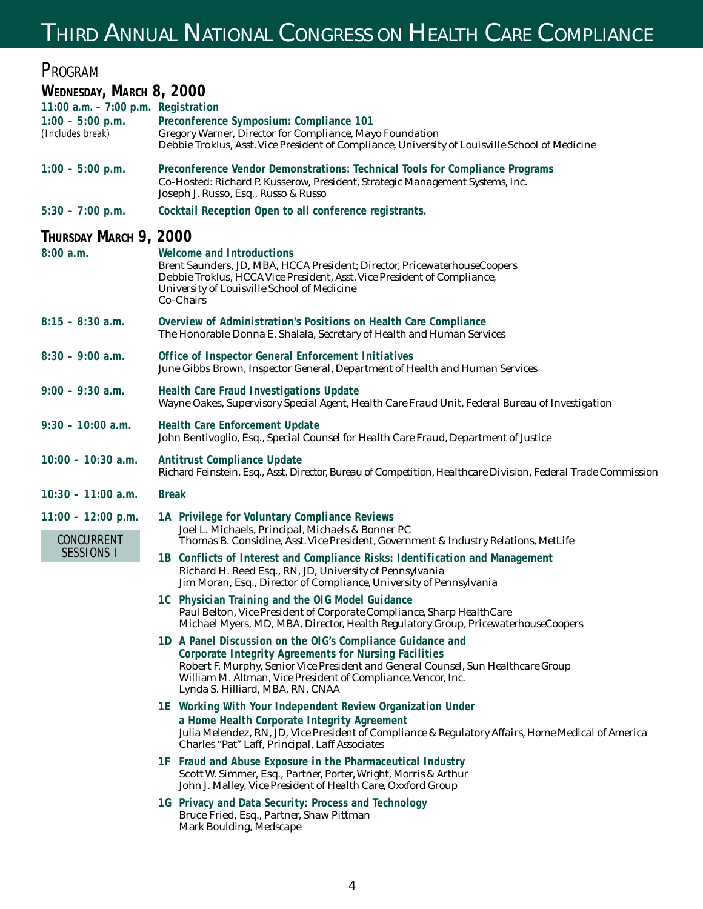## THIRD ANNUAL NATIONAL CONGRESS ON HEALTH CARE COMPLIANCE

| PROGRAM                                                                        |                                                                                                                                                                                                                                                                                                                      |  |  |  |  |
|--------------------------------------------------------------------------------|----------------------------------------------------------------------------------------------------------------------------------------------------------------------------------------------------------------------------------------------------------------------------------------------------------------------|--|--|--|--|
| WEDNESDAY, MARCH 8, 2000                                                       |                                                                                                                                                                                                                                                                                                                      |  |  |  |  |
| 11:00 a.m. $-7:00$ p.m. Registration<br>$1:00 - 5:00$ p.m.<br>(Includes break) | Preconference Symposium: Compliance 101<br>Gregory Warner, Director for Compliance, Mayo Foundation<br>Debbie Troklus, Asst. Vice President of Compliance, University of Louisville School of Medicine                                                                                                               |  |  |  |  |
| $1:00 - 5:00$ p.m.                                                             | Preconference Vendor Demonstrations: Technical Tools for Compliance Programs<br>Co-Hosted: Richard P. Kusserow, President, Strategic Management Systems, Inc.<br>Joseph J. Russo, Esq., Russo & Russo                                                                                                                |  |  |  |  |
| $5:30 - 7:00$ p.m.                                                             | Cocktail Reception Open to all conference registrants.                                                                                                                                                                                                                                                               |  |  |  |  |
| Thursday March 9, 2000<br>8:00a.m.                                             | Welcome and Introductions<br>Brent Saunders, JD, MBA, HCCA President; Director, PricewaterhouseCoopers<br>Debbie Troklus, HCCA Vice President, Asst. Vice President of Compliance,<br>University of Louisville School of Medicine<br><b>Co-Chairs</b>                                                                |  |  |  |  |
| $8:15 - 8:30$ a.m.                                                             | Overview of Administration's Positions on Health Care Compliance<br>The Honorable Donna E. Shalala, Secretary of Health and Human Services                                                                                                                                                                           |  |  |  |  |
| $8:30 - 9:00$ a.m.                                                             | Office of Inspector General Enforcement Initiatives<br>June Gibbs Brown, Inspector General, Department of Health and Human Services                                                                                                                                                                                  |  |  |  |  |
| $9:00 - 9:30$ a.m.                                                             | <b>Health Care Fraud Investigations Update</b><br>Wayne Oakes, Supervisory Special Agent, Health Care Fraud Unit, Federal Bureau of Investigation                                                                                                                                                                    |  |  |  |  |
| $9:30 - 10:00$ a.m.                                                            | <b>Health Care Enforcement Update</b><br>John Bentivoglio, Esq., Special Counsel for Health Care Fraud, Department of Justice                                                                                                                                                                                        |  |  |  |  |
| $10:00 - 10:30$ a.m.                                                           | <b>Antitrust Compliance Update</b><br>Richard Feinstein, Esq., Asst. Director, Bureau of Competition, Healthcare Division, Federal Trade Commission                                                                                                                                                                  |  |  |  |  |
| $10:30 - 11:00$ a.m.                                                           | <b>Break</b>                                                                                                                                                                                                                                                                                                         |  |  |  |  |
| $11:00 - 12:00$ p.m.<br>CONCURRENT<br><b>SESSIONS I</b>                        | 1A Privilege for Voluntary Compliance Reviews<br>Joel L. Michaels, Principal, Michaels & Bonner PC<br>Thomas B. Considine, Asst. Vice President, Government & Industry Relations, MetLife                                                                                                                            |  |  |  |  |
|                                                                                | 1B Conflicts of Interest and Compliance Risks: Identification and Management<br>Richard H. Reed Esq., RN, JD, University of Pennsylvania<br>Jim Moran, Esq., Director of Compliance, University of Pennsylvania                                                                                                      |  |  |  |  |
|                                                                                | 1C Physician Training and the OIG Model Guidance<br>Paul Belton, Vice President of Corporate Compliance, Sharp HealthCare<br>Michael Myers, MD, MBA, Director, Health Regulatory Group, PricewaterhouseCoopers                                                                                                       |  |  |  |  |
|                                                                                | 1D A Panel Discussion on the OIG's Compliance Guidance and<br><b>Corporate Integrity Agreements for Nursing Facilities</b><br>Robert F. Murphy, Senior Vice President and General Counsel, Sun Healthcare Group<br>William M. Altman, Vice President of Compliance, Vencor, Inc.<br>Lynda S. Hilliard, MBA, RN, CNAA |  |  |  |  |
|                                                                                | 1E Working With Your Independent Review Organization Under<br>a Home Health Corporate Integrity Agreement<br>Julia Melendez, RN, JD, Vice President of Compliance & Regulatory Affairs, Home Medical of America<br>Charles "Pat" Laff, Principal, Laff Associates                                                    |  |  |  |  |
|                                                                                | 1F Fraud and Abuse Exposure in the Pharmaceutical Industry<br>Scott W. Simmer, Esq., Partner, Porter, Wright, Morris & Arthur<br>John J. Malley, Vice President of Health Care, Oxxford Group                                                                                                                        |  |  |  |  |
|                                                                                | 1G Privacy and Data Security: Process and Technology<br>Bruce Fried, Esq., Partner, Shaw Pittman<br>Mark Boulding, Medscape                                                                                                                                                                                          |  |  |  |  |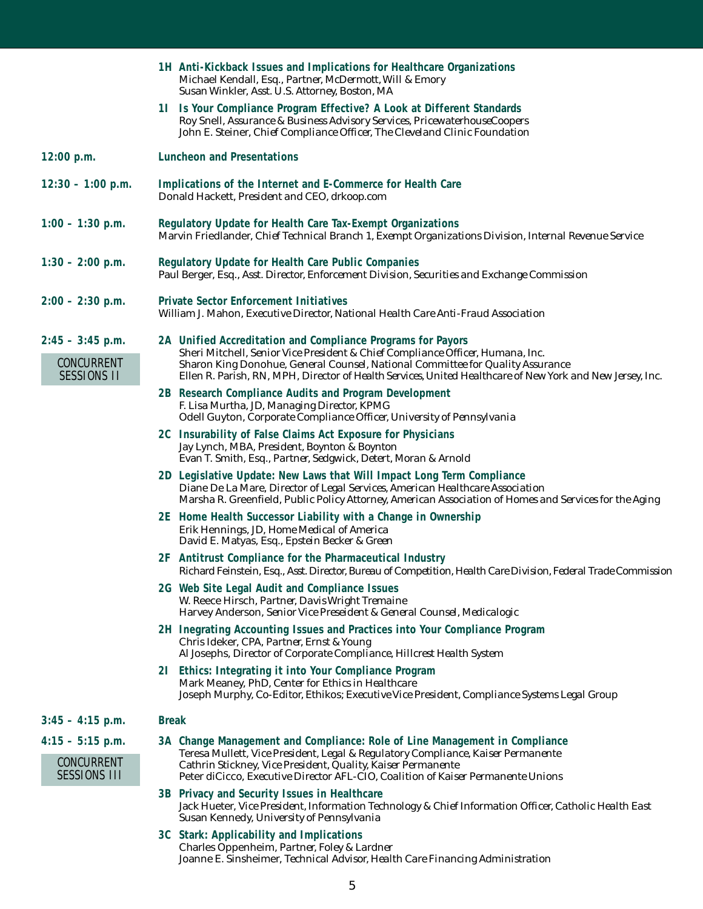|                                                         | 1H Anti-Kickback Issues and Implications for Healthcare Organizations<br>Michael Kendall, Esq., Partner, McDermott, Will & Emory<br>Susan Winkler, Asst. U.S. Attorney, Boston, MA                                                                                                                                                           |  |  |
|---------------------------------------------------------|----------------------------------------------------------------------------------------------------------------------------------------------------------------------------------------------------------------------------------------------------------------------------------------------------------------------------------------------|--|--|
|                                                         | 11 Is Your Compliance Program Effective? A Look at Different Standards<br>Roy Snell, Assurance & Business Advisory Services, PricewaterhouseCoopers<br>John E. Steiner, Chief Compliance Officer, The Cleveland Clinic Foundation                                                                                                            |  |  |
| 12:00 p.m.                                              | <b>Luncheon and Presentations</b>                                                                                                                                                                                                                                                                                                            |  |  |
| $12:30 - 1:00$ p.m.                                     | Implications of the Internet and E-Commerce for Health Care<br>Donald Hackett, President and CEO, drkoop.com                                                                                                                                                                                                                                 |  |  |
| $1:00 - 1:30$ p.m.                                      | Regulatory Update for Health Care Tax-Exempt Organizations<br>Marvin Friedlander, Chief Technical Branch 1, Exempt Organizations Division, Internal Revenue Service                                                                                                                                                                          |  |  |
| $1:30 - 2:00$ p.m.                                      | <b>Regulatory Update for Health Care Public Companies</b><br>Paul Berger, Esq., Asst. Director, Enforcement Division, Securities and Exchange Commission                                                                                                                                                                                     |  |  |
| $2:00 - 2:30$ p.m.                                      | <b>Private Sector Enforcement Initiatives</b><br>William J. Mahon, Executive Director, National Health Care Anti-Fraud Association                                                                                                                                                                                                           |  |  |
| $2:45 - 3:45$ p.m.<br>CONCURRENT<br><b>SESSIONS II</b>  | 2A Unified Accreditation and Compliance Programs for Payors<br>Sheri Mitchell, Senior Vice President & Chief Compliance Officer, Humana, Inc.<br>Sharon King Donohue, General Counsel, National Committee for Quality Assurance<br>Ellen R. Parish, RN, MPH, Director of Health Services, United Healthcare of New York and New Jersey, Inc. |  |  |
|                                                         | 2B Research Compliance Audits and Program Development<br>F. Lisa Murtha, JD, Managing Director, KPMG<br>Odell Guyton, Corporate Compliance Officer, University of Pennsylvania                                                                                                                                                               |  |  |
|                                                         | 2C Insurability of False Claims Act Exposure for Physicians<br>Jay Lynch, MBA, President, Boynton & Boynton<br>Evan T. Smith, Esq., Partner, Sedgwick, Detert, Moran & Arnold                                                                                                                                                                |  |  |
|                                                         | 2D Legislative Update: New Laws that Will Impact Long Term Compliance<br>Diane De La Mare, Director of Legal Services, American Healthcare Association<br>Marsha R. Greenfield, Public Policy Attorney, American Association of Homes and Services for the Aging                                                                             |  |  |
|                                                         | 2E Home Health Successor Liability with a Change in Ownership<br>Erik Hennings, JD, Home Medical of America<br>David E. Matyas, Esq., Epstein Becker & Green                                                                                                                                                                                 |  |  |
|                                                         | 2F Antitrust Compliance for the Pharmaceutical Industry<br>Richard Feinstein, Esq., Asst. Director, Bureau of Competition, Health Care Division, Federal Trade Commission                                                                                                                                                                    |  |  |
|                                                         | 2G Web Site Legal Audit and Compliance Issues<br>W. Reece Hirsch, Partner, Davis Wright Tremaine<br>Harvey Anderson, Senior Vice Preseident & General Counsel, Medicalogic                                                                                                                                                                   |  |  |
|                                                         | 2H Inegrating Accounting Issues and Practices into Your Compliance Program<br>Chris Ideker, CPA, Partner, Ernst & Young<br>Al Josephs, Director of Corporate Compliance, Hillcrest Health System                                                                                                                                             |  |  |
|                                                         | 21 Ethics: Integrating it into Your Compliance Program<br>Mark Meaney, PhD, Center for Ethics in Healthcare<br>Joseph Murphy, Co-Editor, Ethikos; Executive Vice President, Compliance Systems Legal Group                                                                                                                                   |  |  |
| $3:45 - 4:15$ p.m.                                      | <b>Break</b>                                                                                                                                                                                                                                                                                                                                 |  |  |
| $4:15 - 5:15$ p.m.<br>CONCURRENT<br><b>SESSIONS III</b> | 3A Change Management and Compliance: Role of Line Management in Compliance<br>Teresa Mullett, Vice President, Legal & Regulatory Compliance, Kaiser Permanente<br>Cathrin Stickney, Vice President, Quality, Kaiser Permanente<br>Peter diCicco, Executive Director AFL-CIO, Coalition of Kaiser Permanente Unions                           |  |  |
|                                                         | 3B Privacy and Security Issues in Healthcare<br>Jack Hueter, Vice President, Information Technology & Chief Information Officer, Catholic Health East<br>Susan Kennedy, University of Pennsylvania                                                                                                                                           |  |  |
|                                                         | 3C Stark: Applicability and Implications<br>Charles Oppenheim, Partner, Foley & Lardner<br>Joanne E. Sinsheimer, Technical Advisor, Health Care Financing Administration                                                                                                                                                                     |  |  |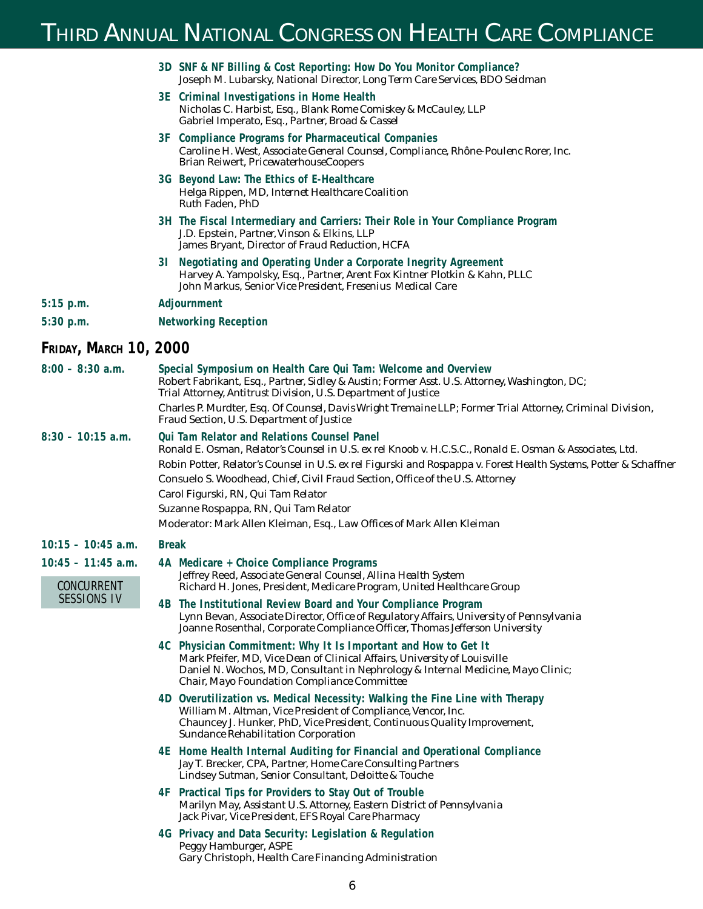## THIRD ANNUAL NATIONAL CONGRESS ON HEALTH CARE COMPLIANCE

|                               | 3D SNF & NF Billing & Cost Reporting: How Do You Monitor Compliance?<br>Joseph M. Lubarsky, National Director, Long Term Care Services, BDO Seidman                                                                                                                            |  |  |  |
|-------------------------------|--------------------------------------------------------------------------------------------------------------------------------------------------------------------------------------------------------------------------------------------------------------------------------|--|--|--|
|                               | 3E Criminal Investigations in Home Health<br>Nicholas C. Harbist, Esq., Blank Rome Comiskey & McCauley, LLP<br>Gabriel Imperato, Esq., Partner, Broad & Cassel                                                                                                                 |  |  |  |
|                               | 3F Compliance Programs for Pharmaceutical Companies<br>Caroline H. West, Associate General Counsel, Compliance, Rhône-Poulenc Rorer, Inc.<br>Brian Reiwert, PricewaterhouseCoopers                                                                                             |  |  |  |
|                               | 3G Beyond Law: The Ethics of E-Healthcare<br>Helga Rippen, MD, Internet Healthcare Coalition<br>Ruth Faden, PhD                                                                                                                                                                |  |  |  |
|                               | 3H The Fiscal Intermediary and Carriers: Their Role in Your Compliance Program<br>J.D. Epstein, Partner, Vinson & Elkins, LLP<br>James Bryant, Director of Fraud Reduction, HCFA                                                                                               |  |  |  |
|                               | 31 Negotiating and Operating Under a Corporate Inegrity Agreement<br>Harvey A. Yampolsky, Esq., Partner, Arent Fox Kintner Plotkin & Kahn, PLLC<br>John Markus, Senior Vice President, Fresenius Medical Care                                                                  |  |  |  |
| 5:15 p.m.                     | Adjournment                                                                                                                                                                                                                                                                    |  |  |  |
| 5:30 p.m.                     | <b>Networking Reception</b>                                                                                                                                                                                                                                                    |  |  |  |
| <b>FRIDAY, MARCH 10, 2000</b> |                                                                                                                                                                                                                                                                                |  |  |  |
| $8:00 - 8:30$ a.m.            | Special Symposium on Health Care Qui Tam: Welcome and Overview<br>Robert Fabrikant, Esq., Partner, Sidley & Austin; Former Asst. U.S. Attorney, Washington, DC;<br>Trial Attorney, Antitrust Division, U.S. Department of Justice                                              |  |  |  |
|                               | Charles P. Murdter, Esq. Of Counsel, Davis Wright Tremaine LLP; Former Trial Attorney, Criminal Division,<br><b>Fraud Section, U.S. Department of Justice</b>                                                                                                                  |  |  |  |
| $8:30 - 10:15$ a.m.           | <b>Qui Tam Relator and Relations Counsel Panel</b><br>Ronald E. Osman, Relator's Counsel in U.S. ex rel Knoob v. H.C.S.C., Ronald E. Osman & Associates, Ltd.                                                                                                                  |  |  |  |
|                               | Robin Potter, Relator's Counsel in U.S. ex rel Figurski and Rospappa v. Forest Health Systems, Potter & Schaffner                                                                                                                                                              |  |  |  |
|                               | Consuelo S. Woodhead, Chief, Civil Fraud Section, Office of the U.S. Attorney                                                                                                                                                                                                  |  |  |  |
|                               | Carol Figurski, RN, Qui Tam Relator<br>Suzanne Rospappa, RN, Qui Tam Relator                                                                                                                                                                                                   |  |  |  |
|                               | Moderator: Mark Allen Kleiman, Esq., Law Offices of Mark Allen Kleiman                                                                                                                                                                                                         |  |  |  |
| $10:15 - 10:45$ a.m.          | <b>Break</b>                                                                                                                                                                                                                                                                   |  |  |  |
| $10:45 - 11:45$ a.m.          | 4A Medicare + Choice Compliance Programs                                                                                                                                                                                                                                       |  |  |  |
| CONCURRENT                    | Jeffrey Reed, Associate General Counsel, Allina Health System<br>Richard H. Jones, President, Medicare Program, United Healthcare Group                                                                                                                                        |  |  |  |
| <b>SESSIONS IV</b>            | 4B The Institutional Review Board and Your Compliance Program<br>Lynn Bevan, Associate Director, Office of Regulatory Affairs, University of Pennsylvania<br>Joanne Rosenthal, Corporate Compliance Officer, Thomas Jefferson University                                       |  |  |  |
|                               | 4C Physician Commitment: Why It Is Important and How to Get It<br>Mark Pfeifer, MD, Vice Dean of Clinical Affairs, University of Louisville<br>Daniel N. Wochos, MD, Consultant in Nephrology & Internal Medicine, Mayo Clinic;<br>Chair, Mayo Foundation Compliance Committee |  |  |  |
|                               | 4D Overutilization vs. Medical Necessity: Walking the Fine Line with Therapy<br>William M. Altman, Vice President of Compliance, Vencor, Inc.<br>Chauncey J. Hunker, PhD, Vice President, Continuous Quality Improvement,<br><b>Sundance Rehabilitation Corporation</b>        |  |  |  |
|                               | 4E Home Health Internal Auditing for Financial and Operational Compliance<br>Jay T. Brecker, CPA, Partner, Home Care Consulting Partners<br>Lindsey Sutman, Senior Consultant, Deloitte & Touche                                                                               |  |  |  |
|                               | 4F Practical Tips for Providers to Stay Out of Trouble<br>Marilyn May, Assistant U.S. Attorney, Eastern District of Pennsylvania<br>Jack Pivar, Vice President, EFS Royal Care Pharmacy                                                                                        |  |  |  |
|                               | 4G Privacy and Data Security: Legislation & Regulation<br>Peggy Hamburger, ASPE<br>Gary Christoph, Health Care Financing Administration                                                                                                                                        |  |  |  |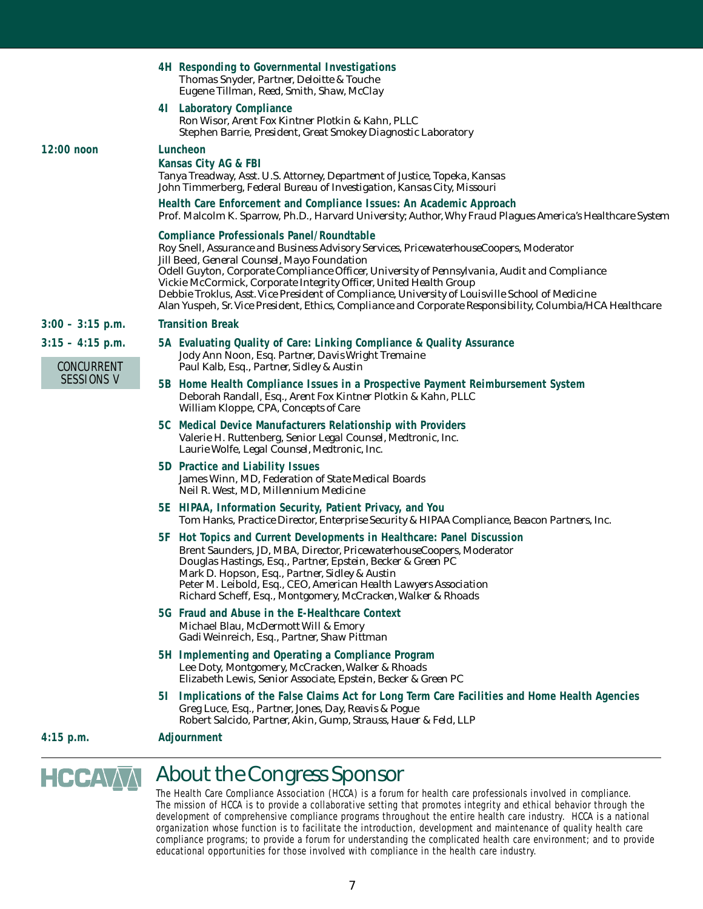|                                  | 4H Responding to Governmental Investigations<br>Thomas Snyder, Partner, Deloitte & Touche<br>Eugene Tillman, Reed, Smith, Shaw, McClay                                                                                                                                                                                                                                                                                                                                                                                                                                                 |  |  |
|----------------------------------|----------------------------------------------------------------------------------------------------------------------------------------------------------------------------------------------------------------------------------------------------------------------------------------------------------------------------------------------------------------------------------------------------------------------------------------------------------------------------------------------------------------------------------------------------------------------------------------|--|--|
|                                  | 41 Laboratory Compliance<br>Ron Wisor, Arent Fox Kintner Plotkin & Kahn, PLLC<br>Stephen Barrie, <i>President, Great Smokey Diagnostic Laboratory</i>                                                                                                                                                                                                                                                                                                                                                                                                                                  |  |  |
| $12:00$ noon                     | Luncheon<br>Kansas City AG & FBI<br>Tanya Treadway, Asst. U.S. Attorney, Department of Justice, Topeka, Kansas<br>John Timmerberg, Federal Bureau of Investigation, Kansas City, Missouri                                                                                                                                                                                                                                                                                                                                                                                              |  |  |
|                                  | Health Care Enforcement and Compliance Issues: An Academic Approach<br>Prof. Malcolm K. Sparrow, Ph.D., Harvard University; Author, Why Fraud Plagues America's Healthcare System                                                                                                                                                                                                                                                                                                                                                                                                      |  |  |
|                                  | <b>Compliance Professionals Panel/Roundtable</b><br>Roy Snell, Assurance and Business Advisory Services, PricewaterhouseCoopers, Moderator<br>Jill Beed, <i>General Counsel, Mayo Foundation</i><br>Odell Guyton, Corporate Compliance Officer, University of Pennsylvania, Audit and Compliance<br>Vickie McCormick, Corporate Integrity Officer, United Health Group<br>Debbie Troklus, Asst. Vice President of Compliance, University of Louisville School of Medicine<br>Alan Yuspeh, Sr. Vice President, Ethics, Compliance and Corporate Responsibility, Columbia/HCA Healthcare |  |  |
| $3:00 - 3:15$ p.m.               | <b>Transition Break</b>                                                                                                                                                                                                                                                                                                                                                                                                                                                                                                                                                                |  |  |
| $3:15 - 4:15$ p.m.<br>CONCURRENT | 5A Evaluating Quality of Care: Linking Compliance & Quality Assurance<br>Jody Ann Noon, Esq. Partner, Davis Wright Tremaine                                                                                                                                                                                                                                                                                                                                                                                                                                                            |  |  |
| SESSIONS V                       | Paul Kalb, Esq., <i>Partner, Sidley &amp; Austin</i><br>5B Home Health Compliance Issues in a Prospective Payment Reimbursement System<br>Deborah Randall, Esq., Arent Fox Kintner Plotkin & Kahn, PLLC<br>William Kloppe, CPA, Concepts of Care                                                                                                                                                                                                                                                                                                                                       |  |  |
|                                  | 5C Medical Device Manufacturers Relationship with Providers<br>Valerie H. Ruttenberg, Senior Legal Counsel, Medtronic, Inc.<br>Laurie Wolfe, Legal Counsel, Medtronic, Inc.                                                                                                                                                                                                                                                                                                                                                                                                            |  |  |
|                                  | 5D Practice and Liability Issues<br>James Winn, MD, Federation of State Medical Boards<br>Neil R. West, MD, Millennium Medicine                                                                                                                                                                                                                                                                                                                                                                                                                                                        |  |  |
|                                  | 5E HIPAA, Information Security, Patient Privacy, and You<br>Tom Hanks, Practice Director, Enterprise Security & HIPAA Compliance, Beacon Partners, Inc.                                                                                                                                                                                                                                                                                                                                                                                                                                |  |  |
|                                  | 5F Hot Topics and Current Developments in Healthcare: Panel Discussion<br>Brent Saunders, JD, MBA, Director, PricewaterhouseCoopers, Moderator<br>Douglas Hastings, Esq., Partner, Epstein, Becker & Green PC<br>Mark D. Hopson, Esq., <i>Partner, Sidley &amp; Austin</i><br>Peter M. Leibold, Esq., CEO, American Health Lawyers Association<br>Richard Scheff, Esq., Montgomery, McCracken, Walker & Rhoads                                                                                                                                                                         |  |  |
|                                  | 5G Fraud and Abuse in the E-Healthcare Context<br>Michael Blau, McDermott Will & Emory<br>Gadi Weinreich, Esq., Partner, Shaw Pittman                                                                                                                                                                                                                                                                                                                                                                                                                                                  |  |  |
|                                  | 5H Implementing and Operating a Compliance Program<br>Lee Doty, Montgomery, McCracken, Walker & Rhoads<br>Elizabeth Lewis, Senior Associate, Epstein, Becker & Green PC                                                                                                                                                                                                                                                                                                                                                                                                                |  |  |
|                                  | 51 Implications of the False Claims Act for Long Term Care Facilities and Home Health Agencies<br>Greg Luce, Esq., Partner, Jones, Day, Reavis & Pogue<br>Robert Salcido, Partner, Akin, Gump, Strauss, Hauer & Feld, LLP                                                                                                                                                                                                                                                                                                                                                              |  |  |
| $4:15$ p.m.                      | Adjournment                                                                                                                                                                                                                                                                                                                                                                                                                                                                                                                                                                            |  |  |

#### HCCAAA *About the Congress Sponsor*

The Health Care Compliance Association (HCCA) is a forum for health care professionals involved in compliance. The mission of HCCA is to provide a collaborative setting that promotes integrity and ethical behavior through the development of comprehensive compliance programs throughout the entire health care industry. HCCA is a national organization whose function is to facilitate the introduction, development and maintenance of quality health care compliance programs; to provide a forum for understanding the complicated health care environment; and to provide educational opportunities for those involved with compliance in the health care industry.